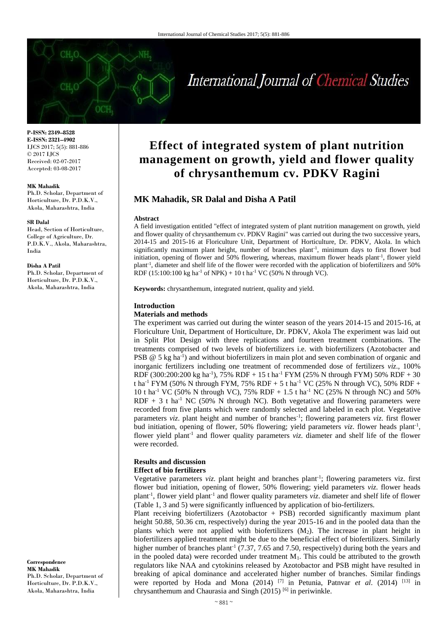# International Journal of Chemical Studies

**P-ISSN: 2349–8528 E-ISSN: 2321–4902** IJCS 2017; 5(5): 881-886 © 2017 IJCS Received: 02-07-2017 Accepted: 03-08-2017

#### **MK Mahadik**

Ph.D. Scholar, Department of Horticulture, Dr. P.D.K.V., Akola, Maharashtra, India

#### **SR Dalal**

Head, Section of Horticulture, College of Agriculture, Dr. P.D.K.V., Akola, Maharashtra, India

#### **Disha A Patil**

Ph.D. Scholar, Department of Horticulture, Dr. P.D.K.V., Akola, Maharashtra, India

**Correspondence MK Mahadik** Ph.D. Scholar, Department of Horticulture, Dr. P.D.K.V., Akola, Maharashtra, India

# **Effect of integrated system of plant nutrition management on growth, yield and flower quality of chrysanthemum cv. PDKV Ragini**

# **MK Mahadik, SR Dalal and Disha A Patil**

#### **Abstract**

A field investigation entitled "effect of integrated system of plant nutrition management on growth, yield and flower quality of chrysanthemum cv. PDKV Ragini" was carried out during the two successive years, 2014-15 and 2015-16 at Floriculture Unit, Department of Horticulture, Dr. PDKV, Akola. In which significantly maximum plant height, number of branches plant<sup>-1</sup>, minimum days to first flower bud initiation, opening of flower and 50% flowering, whereas, maximum flower heads plant<sup>-1</sup>, flower yield plant-1 , diameter and shelf life of the flower were recorded with the application of biofertilizers and 50% RDF (15:100:100 kg ha<sup>-1</sup> of NPK) + 10 t ha<sup>-1</sup> VC (50% N through VC).

**Keywords:** chrysanthemum, integrated nutrient, quality and yield.

#### **Introduction**

#### **Materials and methods**

The experiment was carried out during the winter season of the years 2014-15 and 2015-16, at Floriculture Unit, Department of Horticulture, Dr. PDKV, Akola The experiment was laid out in Split Plot Design with three replications and fourteen treatment combinations. The treatments comprised of two levels of biofertilizers i.e. with biofertilizers (Azotobacter and PSB @ 5 kg ha<sup>-1</sup>) and without biofertilizers in main plot and seven combination of organic and inorganic fertilizers including one treatment of recommended dose of fertilizers *viz*., 100% RDF (300:200:200 kg ha<sup>-1</sup>), 75% RDF + 15 t ha<sup>-1</sup> FYM (25% N through FYM) 50% RDF + 30 t ha<sup>-1</sup> FYM (50% N through FYM, 75% RDF + 5 t ha<sup>-1</sup> VC (25% N through VC), 50% RDF + 10 t ha-1 VC (50% N through VC), 75% RDF + 1.5 t ha-1 NC (25% N through NC) and 50%  $RDF + 3$  t ha<sup>-1</sup> NC (50% N through NC). Both vegetative and flowering parameters were recorded from five plants which were randomly selected and labeled in each plot. Vegetative parameters *viz*. plant height and number of branches<sup>-1</sup>; flowering parameters *viz*. first flower bud initiation, opening of flower, 50% flowering; yield parameters *viz*. flower heads plant<sup>-1</sup>, flower yield plant<sup>-1</sup> and flower quality parameters *viz*. diameter and shelf life of the flower were recorded.

# **Results and discussion**

# **Effect of bio fertilizers**

Vegetative parameters *viz*. plant height and branches plant<sup>-1</sup>; flowering parameters viz. first flower bud initiation, opening of flower, 50% flowering; yield parameters *viz*. flower heads plant<sup>-1</sup>, flower yield plant<sup>-1</sup> and flower quality parameters *viz*. diameter and shelf life of flower (Table 1, 3 and 5) were significantly influenced by application of bio-fertilizers.

Plant receiving biofertilizers (Azotobactor + PSB) recorded significantly maximum plant height 50.88, 50.36 cm, respectively) during the year 2015-16 and in the pooled data than the plants which were not applied with biofertilizers (M2). The increase in plant height in biofertilizers applied treatment might be due to the beneficial effect of biofertilizers. Similarly higher number of branches plant<sup>-1</sup> (7.37, 7.65 and 7.50, respectively) during both the years and in the pooled data) were recorded under treatment  $M_1$ . This could be attributed to the growth regulators like NAA and cytokinins released by Azotobactor and PSB might have resulted in breaking of apical dominance and accelerated higher number of branches. Similar findings were reported by Hoda and Mona (2014) <sup>[7]</sup> in Petunia, Patnvar *et al.* (2014) <sup>[13]</sup> in chrysanthemum and Chaurasia and Singh  $(2015)$  <sup>[6]</sup> in periwinkle.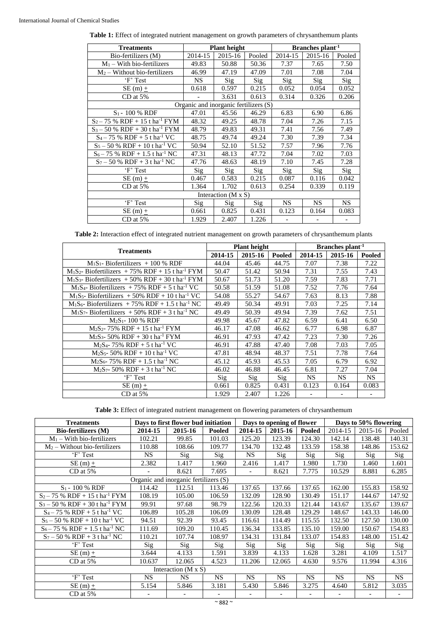| <b>Treatments</b>                            |                                       | <b>Plant height</b>        |        | Branches plant <sup>-1</sup> |         |        |  |  |
|----------------------------------------------|---------------------------------------|----------------------------|--------|------------------------------|---------|--------|--|--|
| Bio-fertilizers (M)                          | 2014-15                               | 2015-16                    | Pooled | 2014-15                      | 2015-16 | Pooled |  |  |
| $M_1$ – With bio-fertilizers                 | 49.83                                 | 50.88                      | 50.36  | 7.37                         | 7.65    | 7.50   |  |  |
| $M_2$ – Without bio-fertilizers              | 46.99                                 | 47.19                      | 47.09  | 7.01                         | 7.08    | 7.04   |  |  |
| 'F' Test                                     | <b>NS</b>                             | Sig                        | Sig    | Sig                          | Sig     | Sig    |  |  |
| $SE(m) +$                                    | 0.618                                 | 0.597                      | 0.215  | 0.052                        | 0.054   | 0.052  |  |  |
| $CD$ at 5%                                   |                                       | 3.631                      | 0.613  | 0.314                        | 0.326   | 0.206  |  |  |
|                                              | Organic and inorganic fertilizers (S) |                            |        |                              |         |        |  |  |
| $S_1 - 100 %$ RDF                            | 47.01                                 | 45.56                      | 46.29  | 6.83                         | 6.90    | 6.86   |  |  |
| $S_2 - 75$ % RDF + 15 t ha <sup>-1</sup> FYM | 48.32                                 | 49.25                      | 48.78  | 7.04                         | 7.26    | 7.15   |  |  |
| $S_3 - 50$ % RDF + 30 t ha <sup>-1</sup> FYM | 48.79                                 | 49.83                      | 49.31  | 7.41                         | 7.56    | 7.49   |  |  |
| $S_4 - 75$ % RDF + 5 t ha <sup>-1</sup> VC   | 48.75                                 | 49.74                      | 49.24  | 7.30                         | 7.39    | 7.34   |  |  |
| $S_5 - 50$ % RDF + 10 t ha <sup>-1</sup> VC  | 50.94                                 | 52.10<br>51.52             |        | 7.57                         | 7.96    | 7.76   |  |  |
| $S_6 - 75$ % RDF + 1.5 t ha <sup>-1</sup> NC | 47.31                                 | 48.13                      | 47.72  | 7.04                         | 7.02    | 7.03   |  |  |
| $S_7 - 50$ % RDF + 3 t ha <sup>-1</sup> NC   | 47.76                                 | 48.63                      | 48.19  | 7.10                         | 7.45    | 7.28   |  |  |
| 'F' Test                                     | Sig                                   | Sig                        | Sig    | Sig                          | Sig     | Sig    |  |  |
| SE (m) $\pm$                                 | 0.467                                 | 0.583                      | 0.215  | 0.087                        | 0.116   | 0.042  |  |  |
| $CD$ at 5%                                   | 1.364                                 | 1.702                      | 0.613  | 0.254                        | 0.339   | 0.119  |  |  |
|                                              |                                       | Interaction $(M \times S)$ |        |                              |         |        |  |  |
| 'F' Test                                     | Sig                                   | Sig                        | Sig    | NS.                          | NS.     | NS.    |  |  |
| $SE(m) +$                                    | 0.661                                 | 0.825                      | 0.431  | 0.123                        | 0.164   | 0.083  |  |  |
| $CD$ at $5%$                                 | 1.929                                 | 2.407                      | 1.226  |                              |         |        |  |  |

**Table 1:** Effect of integrated nutrient management on growth parameters of chrysanthemum plants

**Table 2:** Interaction effect of integrated nutrient management on growth parameters of chrysanthemum plants

|                                                                 |         | <b>Plant height</b> |        | Branches plant <sup>-1</sup> |         |        |  |  |
|-----------------------------------------------------------------|---------|---------------------|--------|------------------------------|---------|--------|--|--|
| <b>Treatments</b>                                               | 2014-15 | 2015-16             | Pooled | 2014-15                      | 2015-16 | Pooled |  |  |
| $M_1S_1$ - Biofertilizers + 100 % RDF                           | 44.04   | 45.46               | 44.75  | 7.07                         | 7.38    | 7.22   |  |  |
| $M_1S_2$ - Biofertilizers + 75% RDF + 15 t ha <sup>-1</sup> FYM | 50.47   | 51.42               | 50.94  | 7.31                         | 7.55    | 7.43   |  |  |
| $M_1S_3$ - Biofertilizers + 50% RDF + 30 t ha <sup>-1</sup> FYM | 50.67   | 51.73               | 51.20  | 7.59                         | 7.83    | 7.71   |  |  |
| $M_1S_4$ - Biofertilizers + 75% RDF + 5 t ha <sup>-1</sup> VC   | 50.58   | 51.59               | 51.08  | 7.52                         | 7.76    | 7.64   |  |  |
| $M_1S_5$ - Biofertilizers + 50% RDF + 10 t ha <sup>-1</sup> VC  | 54.08   | 55.27               | 54.67  | 7.63                         | 8.13    | 7.88   |  |  |
| $M_1S_6$ - Biofertilizers + 75% RDF + 1.5 t ha <sup>-1</sup> NC | 49.49   | 50.34               | 49.91  | 7.03                         | 7.25    | 7.14   |  |  |
| $M_1S_7$ - Biofertilizers + 50% RDF + 3 t ha <sup>-1</sup> NC   | 49.49   | 50.39               | 49.94  | 7.39                         | 7.62    | 7.51   |  |  |
| $M_2S_1 - 100 %$ RDF                                            | 49.98   | 45.67               | 47.82  | 6.59                         | 6.41    | 6.50   |  |  |
| $M_2S_2$ - 75% RDF + 15 t ha <sup>-1</sup> FYM                  | 46.17   | 47.08               | 46.62  | 6.77                         | 6.98    | 6.87   |  |  |
| $M_2S_3$ - 50% RDF + 30 t ha <sup>-1</sup> FYM                  | 46.91   | 47.93               | 47.42  | 7.23                         | 7.30    | 7.26   |  |  |
| $M_2S_4$ - 75% RDF + 5 t ha <sup>-1</sup> VC                    | 46.91   | 47.88               | 47.40  | 7.08                         | 7.03    | 7.05   |  |  |
| $M_2S_5$ - 50% RDF + 10 t ha <sup>-1</sup> VC                   | 47.81   | 48.94               | 48.37  | 7.51                         | 7.78    | 7.64   |  |  |
| $M_2S_6$ - 75% RDF + 1.5 t ha <sup>-1</sup> NC                  | 45.12   | 45.93               | 45.53  | 7.05                         | 6.79    | 6.92   |  |  |
| $M_2S_7$ - 50% RDF + 3 t ha <sup>-1</sup> NC                    | 46.02   | 46.88               | 46.45  | 6.81                         | 7.27    | 7.04   |  |  |
| 'F' Test                                                        | Sig     | Sig                 | Sig    | <b>NS</b>                    | NS.     | NS.    |  |  |
| SE (m) $\pm$                                                    | 0.661   | 0.825               | 0.431  | 0.123                        | 0.164   | 0.083  |  |  |
| $CD$ at 5%                                                      | 1.929   | 2.407               | 1.226  |                              |         |        |  |  |

**Table 3:** Effect of integrated nutrient management on flowering parameters of chrysanthemum

| <b>Treatments</b>                            | Days to first flower bud initiation<br>Days to opening of flower |                            |           |           |           | Days to 50% flowering |           |           |           |  |
|----------------------------------------------|------------------------------------------------------------------|----------------------------|-----------|-----------|-----------|-----------------------|-----------|-----------|-----------|--|
| Bio-fertilizers (M)                          | 2014-15                                                          | 2015-16                    | Pooled    | 2014-15   | 2015-16   | <b>Pooled</b>         | 2014-15   | 2015-16   | Pooled    |  |
| $M_1$ – With bio-fertilizers                 | 102.21                                                           | 99.85                      | 101.03    | 125.20    | 123.39    | 124.30                | 142.14    | 138.48    | 140.31    |  |
| $M_2$ – Without bio-fertilizers              | 110.88                                                           | 108.66                     | 109.77    | 134.70    | 132.48    | 133.59                | 158.38    | 148.86    | 153.62    |  |
| 'F' Test                                     | <b>NS</b>                                                        | Sig                        | Sig       | <b>NS</b> | Sig       | Sig                   | Sig       | Sig       | Sig       |  |
| SE (m) $\pm$                                 | 2.382                                                            | 1.417                      | 1.960     | 2.416     | 1.417     | 1.980                 | 1.730     | 1.460     | 1.601     |  |
| $CD$ at 5%                                   |                                                                  | 8.621                      | 7.695     |           | 8.621     | 7.775                 | 10.529    | 8.881     | 6.285     |  |
|                                              | Organic and inorganic fertilizers (S)                            |                            |           |           |           |                       |           |           |           |  |
| $S_1 - 100 %$ RDF                            | 114.42                                                           | 112.51                     | 113.46    | 137.65    | 137.66    | 137.65                | 162.00    | 155.83    | 158.92    |  |
| $S_2 - 75$ % RDF + 15 t ha <sup>-1</sup> FYM | 108.19                                                           | 105.00                     | 106.59    | 132.09    | 128.90    | 130.49                | 151.17    | 144.67    | 147.92    |  |
| $S_3 - 50$ % RDF + 30 t ha <sup>-1</sup> FYM | 99.91                                                            | 97.68                      | 98.79     | 122.56    | 120.33    | 121.44                | 143.67    | 135.67    | 139.67    |  |
| $S_4 - 75$ % RDF + 5 t ha <sup>-1</sup> VC   | 106.89                                                           | 105.28                     | 106.09    | 130.09    | 128.48    | 129.29                | 148.67    | 143.33    | 146.00    |  |
| $S_5 - 50$ % RDF + 10 t ha <sup>-1</sup> VC  | 94.51                                                            | 92.39                      | 93.45     | 116.61    | 114.49    | 115.55                | 132.50    | 127.50    | 130.00    |  |
| $S_6 - 75$ % RDF + 1.5 t ha <sup>-1</sup> NC | 111.69                                                           | 109.20                     | 110.45    | 136.34    | 133.85    | 135.10                | 159.00    | 150.67    | 154.83    |  |
| $S_7 - 50$ % RDF + 3 t ha <sup>-1</sup> NC   | 110.21                                                           | 107.74                     | 108.97    | 134.31    | 131.84    | 133.07                | 154.83    | 148.00    | 151.42    |  |
| 'F' Test                                     | Sig                                                              | Sig                        | Sig       | Sig       | Sig       | Sig                   | Sig       | Sig       | Sig       |  |
| SE (m) $\pm$                                 | 3.644                                                            | 4.133                      | 1.591     | 3.839     | 4.133     | 1.628                 | 3.281     | 4.109     | 1.517     |  |
| $CD$ at 5%                                   | 10.637                                                           | 12.065                     | 4.523     | 11.206    | 12.065    | 4.630                 | 9.576     | 11.994    | 4.316     |  |
|                                              |                                                                  | Interaction $(M \times S)$ |           |           |           |                       |           |           |           |  |
| 'F' Test                                     | <b>NS</b>                                                        | <b>NS</b>                  | <b>NS</b> | <b>NS</b> | <b>NS</b> | <b>NS</b>             | <b>NS</b> | <b>NS</b> | <b>NS</b> |  |
| SE (m) $\pm$                                 | 5.154                                                            | 5.846                      | 3.181     | 5.430     | 5.846     | 3.275                 | 4.640     | 5.812     | 3.035     |  |
| $CD$ at 5%                                   |                                                                  |                            |           |           |           |                       |           |           |           |  |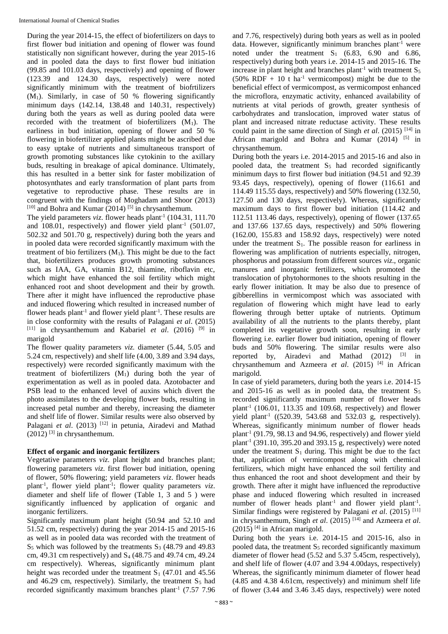During the year 2014-15, the effect of biofertilizers on days to first flower bud initiation and opening of flower was found statistically non significant however, during the year 2015-16 and in pooled data the days to first flower bud initiation (99.85 and 101.03 days, respectively) and opening of flower (123.39 and 124.30 days, respectively) were noted significantly minimum with the treatment of biofrtilizers  $(M_1)$ . Similarly, in case of 50 % flowering significantly minimum days (142.14, 138.48 and 140.31, respectively) during both the years as well as during pooled data were recorded with the treatment of biofertilizers  $(M_1)$ . The earliness in bud initiation, opening of flower and 50 % flowering in biofertilizer applied plants might be ascribed due to easy uptake of nutrients and simultaneous transport of growth promoting substances like cytokinin to the axillary buds, resulting in breakage of apical dominance. Ultimately, this has resulted in a better sink for faster mobilization of photosynthates and early transformation of plant parts from vegetative to reproductive phase. These results are in congruent with the findings of Moghadam and Shoor (2013)  $[10]$  and Bohra and Kumar (2014) <sup>[5]</sup> in chrysanthemum.

The yield parameters *viz*. flower heads plant<sup>-1</sup> (104.31, 111.70) and 108.01, respectively) and flower yield plant<sup>-1</sup> (501.07, 502.32 and 501.70 g, respectively) during both the years and in pooled data were recorded significantly maximum with the treatment of bio fertilizers  $(M_1)$ . This might be due to the fact that, biofertilizers produces growth promoting substances such as IAA, GA, vitamin B12, thiamine, riboflavin etc, which might have enhanced the soil fertility which might enhanced root and shoot development and their by growth. There after it might have influenced the reproductive phase and induced flowering which resulted in increased number of flower heads plant<sup>-1</sup> and flower yield plant<sup>-1</sup>. These results are in close conformity with the results of Palagani *et al*. (2015) [11] in chrysanthemum and Kabariel *et al*. (2016) [9] in marigold

The flower quality parameters *viz.* diameter (5.44, 5.05 and 5.24 cm, respectively) and shelf life (4.00, 3.89 and 3.94 days, respectively) were recorded significantly maximum with the treatment of biofertilizers  $(M_1)$  during both the year of experimentation as well as in pooled data. Azotobacter and PSB lead to the enhanced level of auxins which divert the photo assimilates to the developing flower buds, resulting in increased petal number and thereby, increasing the diameter and shelf life of flower. Similar results were also observed by Palagani *et al.* (2013) <sup>[12]</sup> in petunia, Airadevi and Mathad  $(2012)$ <sup>[3]</sup> in chrysanthemum.

## **Effect of organic and inorganic fertilizers**

Vegetative parameters *viz*. plant height and branches plant; flowering parameters *viz*. first flower bud initiation, opening of flower, 50% flowering; yield parameters *viz*. flower heads plant-1 , flower yield plant-1 ; flower quality parameters *viz*. diameter and shelf life of flower (Table 1, 3 and 5 ) were significantly influenced by application of organic and inorganic fertilizers.

Significantly maximum plant height (50.94 and 52.10 and 51.52 cm, respectively) during the year 2014-15 and 2015-16 as well as in pooled data was recorded with the treatment of  $S_5$  which was followed by the treatments  $S_3$  (48.79 and 49.83) cm, 49.31 cm respectively) and S<sup>4</sup> (48.75 and 49.74 cm, 49.24 cm respectively). Whereas, significantly minimum plant height was recorded under the treatment  $S_1$  (47.01 and 45.56) and 46.29 cm, respectively). Similarly, the treatment  $S_5$  had recorded significantly maximum branches plant<sup>-1</sup> (7.57 7.96 and 7.76, respectively) during both years as well as in pooled data. However, significantly minimum branches plant<sup>-1</sup> were noted under the treatment  $S_1$  (6.83, 6.90 and 6.86, respectively) during both years i.e. 2014-15 and 2015-16. The increase in plant height and branches plant<sup>-1</sup> with treatment  $S_5$  $(50\% \text{ RDF} + 10 \text{ t} \text{ ha}^{-1} \text{ vermicompost})$  might be due to the beneficial effect of vermicompost, as vermicompost enhanced the microflora, enzymatic activity, enhanced availability of nutrients at vital periods of growth, greater synthesis of carbohydrates and translocation, improved water status of plant and increased nitrate reductase activity. These results could paint in the same direction of Singh *et al*. (2015) [14] in African marigold and Bohra and Kumar  $(2014)$ <sup>[5]</sup> in chrysanthemum.

During both the years i.e. 2014-2015 and 2015-16 and also in pooled data, the treatment  $S_5$  had recorded significantly minimum days to first flower bud initiation (94.51 and 92.39 93.45 days, respectively), opening of flower (116.61 and 114.49 115.55 days, respectively) and 50% flowering (132.50, 127.50 and 130 days, respectively). Whereas, significantly maximum days to first flower bud initiation (114.42 and 112.51 113.46 days, respectively), opening of flower (137.65 and 137.66 137.65 days, respectively) and 50% flowering (162.00, 155.83 and 158.92 days, respectively) were noted under the treatment  $S_1$ . The possible reason for earliness in flowering was amplification of nutrients especially, nitrogen, phosphorus and potassium from different sources *viz*., organic manures and inorganic fertilizers, which promoted the translocation of phytohormones to the shoots resulting in the early flower initiation. It may be also due to presence of gibberellins in vermicompost which was associated with regulation of flowering which might have lead to early flowering through better uptake of nutrients. Optimum availability of all the nutrients to the plants thereby, plant completed its vegetative growth soon, resulting in early flowering i.e. earlier flower bud initiation, opening of flower buds and 50% flowering. The similar results were also reported by, Airadevi and Mathad (2012) [3] in chrysanthemum and Azmeera *et al*. (2015) [4] in African marigold.

In case of yield parameters, during both the years i.e. 2014-15 and 2015-16 as well as in pooled data, the treatment  $S_5$ recorded significantly maximum number of flower heads plant<sup>-1</sup> (106.01, 113.35 and 109.68, respectively) and flower yield plant<sup>-1</sup> ( $(520.39, 543.68$  and  $532.03$  g, respectively). Whereas, significantly minimum number of flower heads plant-1 (91.79, 98.13 and 94.96, respectively) and flower yield plant<sup>-1</sup> (391.10, 395.20 and 393.15 g, respectively) were noted under the treatment  $S_1$  during. This might be due to the fact that, application of vermicompost along with chemical fertilizers, which might have enhanced the soil fertility and thus enhanced the root and shoot development and their by growth. There after it might have influenced the reproductive phase and induced flowering which resulted in increased number of flower heads plant<sup>-1</sup> and flower yield plant<sup>-1</sup>. Similar findings were registered by Palagani *et al*. (2015) [11] in chrysanthemum, Singh *et al*. (2015) [14] and Azmeera *et al*.  $(2015)$ <sup>[4]</sup> in African marigold.

During both the years i.e. 2014-15 and 2015-16, also in pooled data, the treatment  $S_5$  recorded significantly maximum diameter of flower head (5.52 and 5.37 5.45cm, respectively), and shelf life of flower (4.07 and 3.94 4.00days, respectively) Whereas, the significantly minimum diameter of flower head (4.85 and 4.38 4.61cm, respectively) and minimum shelf life of flower (3.44 and 3.46 3.45 days, respectively) were noted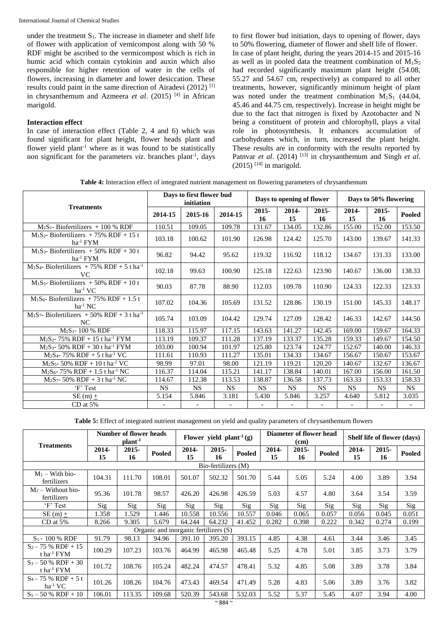under the treatment  $S_1$ . The increase in diameter and shelf life of flower with application of vemicompost along with 50 % RDF might be ascribed to the vermicompost which is rich in humic acid which contain cytokinin and auxin which also responsible for higher retention of water in the cells of flowers, increasing in diameter and lower desiccation. These results could paint in the same direction of Airadevi (2012) [1] in chrysanthemum and Azmeera *et al*. (2015) [4] in African marigold.

### **Interaction effect**

In case of interaction effect (Table 2, 4 and 6) which was found significant for plant height, flower heads plant and flower yield plant<sup>-1</sup> where as it was found to be statistically non significant for the parameters *viz*. branches plant<sup>-1</sup>, days to first flower bud initiation, days to opening of flower, days to 50% flowering, diameter of flower and shelf life of flower. In case of plant height, during the years 2014-15 and 2015-16 as well as in pooled data the treatment combination of  $M_1S_5$ had recorded significantly maximum plant height (54.08, 55.27 and 54.67 cm, respectively) as compared to all other treatments, however, significantly minimum height of plant was noted under the treatment combination  $M_1S_1$  (44.04, 45.46 and 44.75 cm, respectively). Increase in height might be due to the fact that nitrogen is fixed by Azotobacter and N being a constituent of protein and chlorophyll, plays a vital role in photosynthesis. It enhances accumulation of carbohydrates which, in turn, increased the plant height. These results are in conformity with the results reported by Patnvar *et al.* (2014)<sup>[13]</sup> in chrysanthemum and Singh *et al.*  $(2015)$  [14] in marigold.

**Table 4:** Interaction effect of integrated nutrient management on flowering parameters of chrysanthemum

| <b>Treatments</b>                                                       |                          | Days to first flower bud<br>initiation |           |                | Days to opening of flower |                | Days to 50% flowering |                |                          |  |
|-------------------------------------------------------------------------|--------------------------|----------------------------------------|-----------|----------------|---------------------------|----------------|-----------------------|----------------|--------------------------|--|
|                                                                         | 2014-15                  | 2015-16                                | 2014-15   | $2015 -$<br>16 | 2014-<br>15               | $2015 -$<br>16 | 2014-<br>15           | $2015 -$<br>16 | Pooled                   |  |
| $M_1S_1$ - Biofertilizers + 100 % RDF                                   | 110.51                   | 109.05                                 | 109.78    | 131.67         | 134.05                    | 132.86         | 155.00                | 152.00         | 153.50                   |  |
| $M_1S_2$ - Biofertilizers + 75% RDF + 15 t<br>$ha^{-1}$ FYM             | 103.18                   | 100.62                                 | 101.90    | 126.98         | 124.42                    | 125.70         | 143.00                | 139.67         | 141.33                   |  |
| $M_1S_3$ - Biofertilizers + 50% RDF + 30 t<br>ha <sup>-1</sup> FYM      | 96.82                    | 94.42                                  | 95.62     | 119.32         | 116.92                    | 118.12         | 134.67                | 131.33         | 133.00                   |  |
| $M_1S_4$ - Biofertilizers + 75% RDF + 5 t ha <sup>-1</sup><br><b>VC</b> | 102.18                   | 99.63                                  | 100.90    | 125.18         | 122.63                    | 123.90         | 140.67                | 136.00         | 138.33                   |  |
| $M_1S_5$ - Biofertilizers + 50% RDF + 10 t<br>$ha^{-1}VC$               | 90.03                    | 87.78                                  | 88.90     | 112.03         | 109.78                    | 110.90         | 124.33                | 122.33         | 123.33                   |  |
| $M_1S_6$ - Biofertilizers + 75% RDF + 1.5 t<br>$ha^{-1} NC$             | 107.02                   | 104.36                                 | 105.69    | 131.52         | 128.86                    | 130.19         | 151.00                | 145.33         | 148.17                   |  |
| $M_1S_7$ - Biofertilizers + 50% RDF + 3 t ha <sup>-1</sup><br>NC.       | 105.74                   | 103.09                                 | 104.42    | 129.74         | 127.09                    | 128.42         | 146.33                | 142.67         | 144.50                   |  |
| M <sub>2</sub> S <sub>1</sub> -100 % RDF                                | 118.33                   | 115.97                                 | 117.15    | 143.63         | 141.27                    | 142.45         | 169.00                | 159.67         | 164.33                   |  |
| $M_2S_2$ - 75% RDF + 15 t ha <sup>-1</sup> FYM                          | 113.19                   | 109.37                                 | 111.28    | 137.19         | 133.37                    | 135.28         | 159.33                | 149.67         | 154.50                   |  |
| $M_2S_3$ - 50% RDF + 30 t ha <sup>-1</sup> FYM                          | 103.00                   | 100.94                                 | 101.97    | 125.80         | 123.74                    | 124.77         | 152.67                | 140.00         | 146.33                   |  |
| $M_2S_4$ - 75% RDF + 5 t ha <sup>-1</sup> VC                            | 111.61                   | 110.93                                 | 111.27    | 135.01         | 134.33                    | 134.67         | 156.67                | 150.67         | 153.67                   |  |
| $M_2S_5$ - 50% RDF + 10 t ha <sup>-1</sup> VC                           | 98.99                    | 97.01                                  | 98.00     | 121.19         | 119.21                    | 120.20         | 140.67                | 132.67         | 136.67                   |  |
| $M_2S_6$ - 75% RDF + 1.5 t ha <sup>-1</sup> NC                          | 116.37                   | 114.04                                 | 115.21    | 141.17         | 138.84                    | 140.01         | 167.00                | 156.00         | 161.50                   |  |
| $M_2S_7$ - 50% RDF + 3 t ha <sup>-1</sup> NC                            | 114.67                   | 112.38                                 | 113.53    | 138.87         | 136.58                    | 137.73         | 163.33                | 153.33         | 158.33                   |  |
| 'F' Test                                                                | <b>NS</b>                | <b>NS</b>                              | <b>NS</b> | <b>NS</b>      | <b>NS</b>                 | <b>NS</b>      | <b>NS</b>             | <b>NS</b>      | <b>NS</b>                |  |
| $SE(m) +$                                                               | 5.154                    | 5.846                                  | 3.181     | 5.430          | 5.846                     | 3.257          | 4.640                 | 5.812          | 3.035                    |  |
| $CD$ at $5%$                                                            | $\overline{\phantom{a}}$ |                                        |           |                |                           |                |                       |                | $\overline{\phantom{a}}$ |  |

**Table 5:** Effect of integrated nutrient management on yield and quality parameters of chrysanthemum flowers

|                                                 | <b>Number of flower heads</b><br>plant <sup>-1</sup> |             |                                       | Flower yield plant <sup>-1</sup> (g) |                |        |                | Diameter of flower head<br>(cm) |        | Shelf life of flower (days) |                |        |
|-------------------------------------------------|------------------------------------------------------|-------------|---------------------------------------|--------------------------------------|----------------|--------|----------------|---------------------------------|--------|-----------------------------|----------------|--------|
| <b>Treatments</b>                               | 2014-<br>15                                          | 2015-<br>16 | Pooled                                | $2014 -$<br>15                       | $2015 -$<br>16 | Pooled | $2014 -$<br>15 | $2015 -$<br>16                  | Pooled | 2014-<br>15                 | $2015 -$<br>16 | Pooled |
|                                                 |                                                      |             |                                       |                                      |                |        |                |                                 |        |                             |                |        |
| $M_1$ – With bio-<br>fertilizers                | 104.31                                               | 111.70      | 108.01                                | 501.07                               | 502.32         | 501.70 | 5.44           | 5.05                            | 5.24   | 4.00                        | 3.89           | 3.94   |
| $M_2$ – Without bio-<br>fertilizers             | 95.36                                                | 101.78      | 98.57                                 | 426.20                               | 426.98         | 426.59 | 5.03           | 4.57                            | 4.80   | 3.64                        | 3.54           | 3.59   |
| 'F' Test                                        | Sig                                                  | Sig         | Sig                                   | Sig                                  | Sig            | Sig    | Sig            | Sig                             | Sig    | Sig                         | Sig            | Sig    |
| SE (m) $\pm$                                    | 1.358                                                | 1.529       | l.446                                 | 10.558                               | 10.556         | 10.557 | 0.046          | 0.065                           | 0.057  | 0.056                       | 0.045          | 0.051  |
| $CD$ at 5%                                      | 8.266                                                | 9.305       | 5.679                                 | 64.244                               | 64.232         | 41.452 | 0.282          | 0.398                           | 0.222  | 0.342                       | 0.274          | 0.199  |
|                                                 |                                                      |             | Organic and inorganic fertilizers (S) |                                      |                |        |                |                                 |        |                             |                |        |
| $S_1 - 100 %$ RDF                               | 91.79                                                | 98.13       | 94.96                                 | 391.10                               | 395.20         | 393.15 | 4.85           | 4.38                            | 4.61   | 3.44                        | 3.46           | 3.45   |
| $S_2 - 75$ % RDF + 15<br>t ha <sup>-1</sup> FYM | 100.29                                               | 107.23      | 103.76                                | 464.99                               | 465.98         | 465.48 | 5.25           | 4.78                            | 5.01   | 3.85                        | 3.73           | 3.79   |
| $S_3 - 50 % RDF + 30$<br>t ha <sup>-1</sup> FYM | 101.72                                               | 108.76      | 105.24                                | 482.24                               | 474.57         | 478.41 | 5.32           | 4.85                            | 5.08   | 3.89                        | 3.78           | 3.84   |
| $S_4 - 75$ % RDF + 5 t<br>$ha^{-1}VC$           | 101.26                                               | 108.26      | 104.76                                | 473.43                               | 469.54         | 471.49 | 5.28           | 4.83                            | 5.06   | 3.89                        | 3.76           | 3.82   |
| $S_5 - 50 % RDF + 10$                           | 106.01                                               | 113.35      | 109.68                                | 520.39                               | 543.68         | 532.03 | 5.52           | 5.37                            | 5.45   | 4.07                        | 3.94           | 4.00   |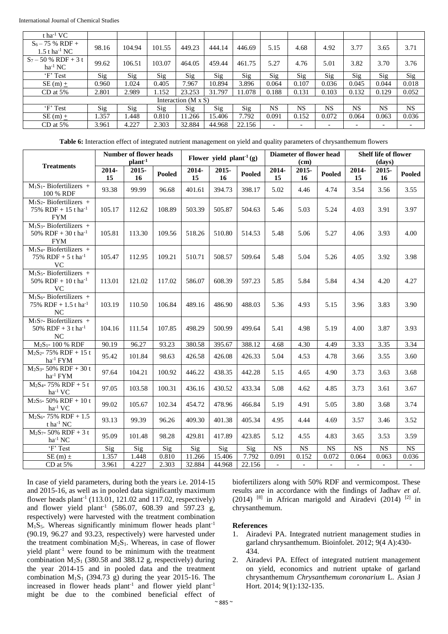| t ha <sup>-1</sup> VC                             |       |        |        |                     |        |        |           |           |                          |                          |       |       |
|---------------------------------------------------|-------|--------|--------|---------------------|--------|--------|-----------|-----------|--------------------------|--------------------------|-------|-------|
| $S_6 - 75$ % RDF +<br>$1.5$ t ha <sup>-1</sup> NC | 98.16 | 104.94 | 101.55 | 449.23              | 444.14 | 446.69 | 5.15      | 4.68      | 4.92                     | 3.77                     | 3.65  | 3.71  |
| $S_7 - 50$ % RDF + 3 t<br>$ha^{-1}NC$             | 99.62 | 106.51 | 103.07 | 464.05              | 459.44 | 461.75 | 5.27      | 4.76      | 5.01                     | 3.82                     | 3.70  | 3.76  |
| 'F' Test                                          | Sig   | Sig    | Sig    | Sig                 | Sig    | Sig    | Sig       | Sig       | Sig                      | Sig                      | Sig   | Sig   |
| SE (m) $\pm$                                      | 0.960 | 1.024  | 0.405  | 7.967               | 10.894 | 3.896  | 0.064     | 0.107     | 0.036                    | 0.045                    | 0.044 | 0.018 |
| $CD$ at 5%                                        | 2.801 | 2.989  | 1.152  | 23.253              | 31.797 | 11.078 | 0.188     | 0.131     | 0.103                    | 0.132                    | 0.129 | 0.052 |
|                                                   |       |        |        | Interaction (M x S) |        |        |           |           |                          |                          |       |       |
| 'F' Test                                          | Sig   | Sig    | Sig    | Sig                 | Sig    | Sig    | <b>NS</b> | <b>NS</b> | <b>NS</b>                | NS                       | NS    | NS.   |
| SE (m) $\pm$                                      | 1.357 | 1.448  | 0.810  | 11.266              | 15.406 | 7.792  | 0.091     | 0.152     | 0.072                    | 0.064                    | 0.063 | 0.036 |
| $CD$ at 5%                                        | 3.961 | 4.227  | 2.303  | 32.884              | 44.968 | 22.156 |           |           | $\overline{\phantom{0}}$ | $\overline{\phantom{0}}$ |       |       |

**Table 6:** Interaction effect of integrated nutrient management on yield and quality parameters of chrysanthemum flowers

|                                                                              |             | <b>Number of flower heads</b><br>plant <sup>-1</sup> |        |             | Flower yield plant <sup>-1</sup> (g) |               |                          | Diameter of flower head<br>(cm) |                | <b>Shelf life of flower</b><br>(days) |                          |                |
|------------------------------------------------------------------------------|-------------|------------------------------------------------------|--------|-------------|--------------------------------------|---------------|--------------------------|---------------------------------|----------------|---------------------------------------|--------------------------|----------------|
| <b>Treatments</b>                                                            | 2014-<br>15 | 2015-<br>16                                          | Pooled | 2014-<br>15 | 2015-<br>16                          | <b>Pooled</b> | 2014-<br>15              | 2015-<br>16 <sup>2</sup>        | <b>Pooled</b>  | 2014-<br>15                           | 2015-<br>16              | <b>Pooled</b>  |
| $M1S1$ - Biofertilizers +<br>100 % RDF                                       | 93.38       | 99.99                                                | 96.68  | 401.61      | 394.73                               | 398.17        | 5.02                     | 4.46                            | 4.74           | 3.54                                  | 3.56                     | 3.55           |
| $M_1S_2$ - Biofertilizers +<br>75% RDF + 15 t ha <sup>-1</sup><br><b>FYM</b> | 105.17      | 112.62                                               | 108.89 | 503.39      | 505.87                               | 504.63        | 5.46                     | 5.03                            | 5.24           | 4.03                                  | 3.91                     | 3.97           |
| $M_1S_3$ - Biofertilizers +<br>50% RDF + 30 t ha <sup>-1</sup><br><b>FYM</b> | 105.81      | 113.30                                               | 109.56 | 518.26      | 510.80                               | 514.53        | 5.48                     | 5.06                            | 5.27           | 4.06                                  | 3.93                     | 4.00           |
| $M_1S_4$ - Biofertilizers +<br>75% RDF + 5 t ha <sup>-1</sup><br>$\rm VC$    | 105.47      | 112.95                                               | 109.21 | 510.71      | 508.57                               | 509.64        | 5.48                     | 5.04                            | 5.26           | 4.05                                  | 3.92                     | 3.98           |
| $M_1S_5$ - Biofertilizers +<br>50% RDF + 10 t ha <sup>-1</sup><br><b>VC</b>  | 113.01      | 121.02                                               | 117.02 | 586.07      | 608.39                               | 597.23        | 5.85                     | 5.84                            | 5.84           | 4.34                                  | 4.20                     | 4.27           |
| $M_1S_6$ - Biofertilizers +<br>75% RDF + $1.5$ t ha <sup>-1</sup><br>NC      | 103.19      | 110.50                                               | 106.84 | 489.16      | 486.90                               | 488.03        | 5.36                     | 4.93                            | 5.15           | 3.96                                  | 3.83                     | 3.90           |
| $M_1S_7$ - Biofertilizers +<br>50% RDF + 3 t ha <sup>-1</sup><br>NC          | 104.16      | 111.54                                               | 107.85 | 498.29      | 500.99                               | 499.64        | 5.41                     | 4.98                            | 5.19           | 4.00                                  | 3.87                     | 3.93           |
| M <sub>2</sub> S <sub>1</sub> -100 % RDF                                     | 90.19       | 96.27                                                | 93.23  | 380.58      | 395.67                               | 388.12        | 4.68                     | 4.30                            | 4.49           | 3.33                                  | 3.35                     | 3.34           |
| $M_2S_2$ - 75% RDF + 15 t<br>ha <sup>-1</sup> FYM                            | 95.42       | 101.84                                               | 98.63  | 426.58      | 426.08                               | 426.33        | 5.04                     | 4.53                            | 4.78           | 3.66                                  | 3.55                     | 3.60           |
| $\overline{M_2S_3}$ - 50% RDF + 30 t<br>ha <sup>-1</sup> FYM                 | 97.64       | 104.21                                               | 100.92 | 446.22      | 438.35                               | 442.28        | 5.15                     | 4.65                            | 4.90           | 3.73                                  | 3.63                     | 3.68           |
| $M_2S_4$ - 75% RDF + 5 t<br>ha <sup>-1</sup> VC                              | 97.05       | 103.58                                               | 100.31 | 436.16      | 430.52                               | 433.34        | 5.08                     | 4.62                            | 4.85           | 3.73                                  | 3.61                     | 3.67           |
| $M_2S_5$ - 50% RDF + 10 t<br>$ha^{-1}VC$                                     | 99.02       | 105.67                                               | 102.34 | 454.72      | 478.96                               | 466.84        | 5.19                     | 4.91                            | 5.05           | 3.80                                  | 3.68                     | 3.74           |
| $M_2S_6$ - 75% RDF + 1.5<br>t ha $^{-1}$ NC                                  | 93.13       | 99.39                                                | 96.26  | 409.30      | 401.38                               | 405.34        | 4.95                     | 4.44                            | 4.69           | 3.57                                  | 3.46                     | 3.52           |
| $M_2S_7 - 50\% RDF + 3t$<br>$ha^{-1} NC$                                     | 95.09       | 101.48                                               | 98.28  | 429.81      | 417.89                               | 423.85        | 5.12                     | 4.55                            | 4.83           | 3.65                                  | 3.53                     | 3.59           |
| 'F' Test                                                                     | Sig         | Sig                                                  | Sig    | Sig         | Sig                                  | Sig           | <b>NS</b>                | NS                              | <b>NS</b>      | <b>NS</b>                             | NS                       | $_{\rm NS}$    |
| SE (m) $\pm$                                                                 | 1.357       | 1.448                                                | 0.810  | 11.266      | 15.406                               | 7.792         | 0.091                    | 0.152                           | 0.072          | 0.064                                 | 0.063                    | 0.036          |
| CD at $5\%$                                                                  | 3.961       | 4.227                                                | 2.303  | 32.884      | 44.968                               | 22.156        | $\overline{\phantom{a}}$ | $\mathbb{Z}^{\mathbb{Z}}$       | $\mathbb{L}^+$ | $\mathcal{L}^{\pm}$                   | $\overline{\phantom{a}}$ | $\mathbb{L}^+$ |

In case of yield parameters, during both the years i.e. 2014-15 and 2015-16, as well as in pooled data significantly maximum flower heads plant<sup>-1</sup> (113.01, 121.02 and 117.02, respectively) and flower yield plant<sup>-1</sup> (586.07, 608.39 and 597.23 g, respectively) were harvested with the treatment combination  $M_1S_5$ . Whereas significantly minimum flower heads plant<sup>-1</sup> (90.19, 96.27 and 93.23, respectively) were harvested under the treatment combination  $M_2S_1$ . Whereas, in case of flower yield plant-1 were found to be minimum with the treatment combination  $M_2S_1$  (380.58 and 388.12 g, respectively) during the year 2014-15 and in pooled data and the treatment combination  $M_1S_1$  (394.73 g) during the year 2015-16. The increased in flower heads plant<sup>-1</sup> and flower yield plant<sup>-1</sup> might be due to the combined beneficial effect of

biofertilizers along with 50% RDF and vermicompost. These results are in accordance with the findings of Jadhav *et al*. (2014)  $^{[8]}$  in African marigold and Airadevi (2014)  $^{[2]}$  in chrysanthemum.

#### **References**

- 1. Airadevi PA. Integrated nutrient management studies in garland chrysanthemum. Bioinfolet. 2012; 9(4 A):430- 434.
- 2. Airadevi PA. Effect of integrated nutrient management on yield, economics and nutrient uptake of garland chrysanthemum *Chrysanthemum coronarium* L. Asian J Hort. 2014; 9(1):132-135.